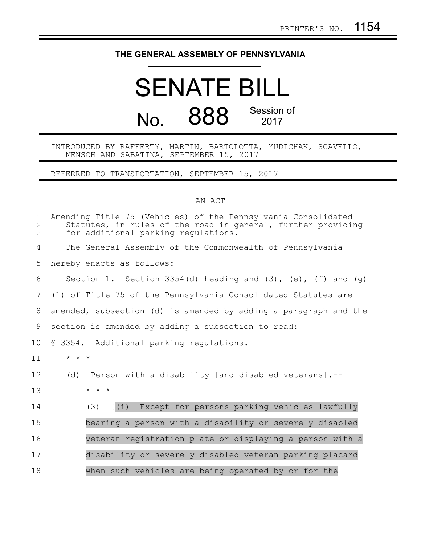## **THE GENERAL ASSEMBLY OF PENNSYLVANIA**

## SENATE BILL No. 888 Session of 2017

INTRODUCED BY RAFFERTY, MARTIN, BARTOLOTTA, YUDICHAK, SCAVELLO, MENSCH AND SABATINA, SEPTEMBER 15, 2017

REFERRED TO TRANSPORTATION, SEPTEMBER 15, 2017

## AN ACT

| $\mathbf{1}$<br>$\overline{2}$<br>$\mathfrak{Z}$ | Amending Title 75 (Vehicles) of the Pennsylvania Consolidated<br>Statutes, in rules of the road in general, further providing<br>for additional parking regulations. |
|--------------------------------------------------|----------------------------------------------------------------------------------------------------------------------------------------------------------------------|
| 4                                                | The General Assembly of the Commonwealth of Pennsylvania                                                                                                             |
| 5                                                | hereby enacts as follows:                                                                                                                                            |
| 6                                                | Section 1. Section 3354(d) heading and $(3)$ , $(e)$ , $(f)$ and $(g)$                                                                                               |
| 7                                                | (1) of Title 75 of the Pennsylvania Consolidated Statutes are                                                                                                        |
| 8                                                | amended, subsection (d) is amended by adding a paragraph and the                                                                                                     |
| 9                                                | section is amended by adding a subsection to read:                                                                                                                   |
| 10                                               | \$ 3354. Additional parking regulations.                                                                                                                             |
| 11                                               | $\star$ $\star$ $\star$                                                                                                                                              |
| 12                                               | Person with a disability [and disabled veterans].--<br>(d)                                                                                                           |
| 13                                               | $\star$ $\star$ $\star$                                                                                                                                              |
| 14                                               | Except for persons parking vehicles lawfully<br>(3)<br>$[\ (\dot{\perp})$                                                                                            |
| 15                                               | bearing a person with a disability or severely disabled                                                                                                              |
| 16                                               | veteran registration plate or displaying a person with a                                                                                                             |
| 17                                               | disability or severely disabled veteran parking placard                                                                                                              |
| 18                                               | when such vehicles are being operated by or for the                                                                                                                  |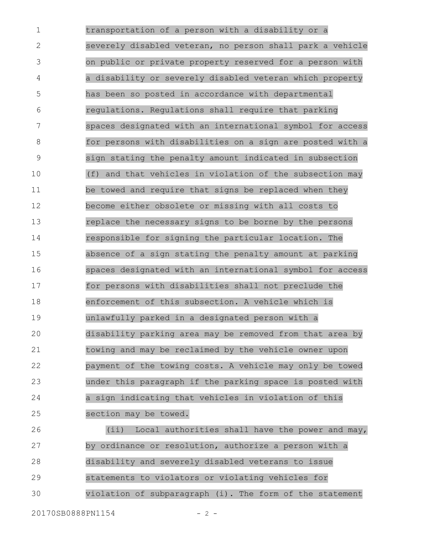transportation of a person with a disability or a severely disabled veteran, no person shall park a vehicle on public or private property reserved for a person with a disability or severely disabled veteran which property has been so posted in accordance with departmental regulations. Regulations shall require that parking spaces designated with an international symbol for access for persons with disabilities on a sign are posted with a sign stating the penalty amount indicated in subsection (f) and that vehicles in violation of the subsection may be towed and require that signs be replaced when they become either obsolete or missing with all costs to replace the necessary signs to be borne by the persons responsible for signing the particular location. The absence of a sign stating the penalty amount at parking spaces designated with an international symbol for access for persons with disabilities shall not preclude the enforcement of this subsection. A vehicle which is unlawfully parked in a designated person with a disability parking area may be removed from that area by towing and may be reclaimed by the vehicle owner upon payment of the towing costs. A vehicle may only be towed under this paragraph if the parking space is posted with a sign indicating that vehicles in violation of this section may be towed. 1 2 3 4 5 6 7 8 9 10 11 12 13 14 15 16 17 18 19 20 21 22 23 24 25

(ii) Local authorities shall have the power and may, by ordinance or resolution, authorize a person with a disability and severely disabled veterans to issue statements to violators or violating vehicles for violation of subparagraph (i). The form of the statement 26 27 28 29 30

20170SB0888PN1154 - 2 -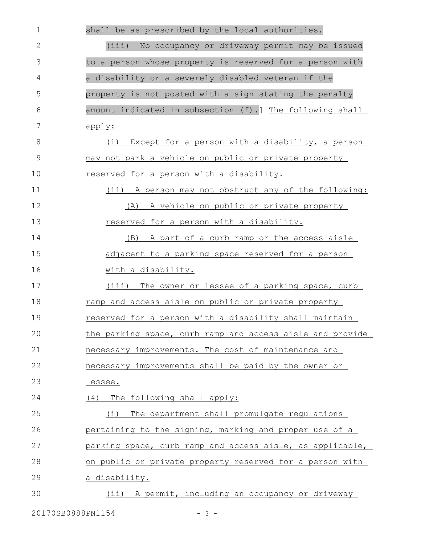| $\mathbf 1$  | shall be as prescribed by the local authorities.          |
|--------------|-----------------------------------------------------------|
| $\mathbf{2}$ | No occupancy or driveway permit may be issued<br>(iii)    |
| 3            | to a person whose property is reserved for a person with  |
| 4            | a disability or a severely disabled veteran if the        |
| 5            | property is not posted with a sign stating the penalty    |
| 6            | amount indicated in subsection (f).] The following shall  |
| 7            | apply:                                                    |
| 8            | (i) Except for a person with a disability, a person       |
| $\mathsf 9$  | may not park a vehicle on public or private property      |
| 10           | reserved for a person with a disability.                  |
| 11           | (ii) A person may not obstruct any of the following:      |
| 12           | (A) A vehicle on public or private property               |
| 13           | reserved for a person with a disability.                  |
| 14           | (B) A part of a curb ramp or the access aisle             |
| 15           | adjacent to a parking space reserved for a person         |
| 16           | with a disability.                                        |
| 17           | (iii) The owner or lessee of a parking space, curb        |
| 18           | ramp and access aisle on public or private property       |
| 19           | reserved for a person with a disability shall maintain    |
| 20           | the parking space, curb ramp and access aisle and provide |
| 21           | necessary improvements. The cost of maintenance and       |
| 22           | necessary improvements shall be paid by the owner or      |
| 23           | lessee.                                                   |
| 24           | (4) The following shall apply:                            |
| 25           | The department shall promulgate requlations<br>(i)        |
| 26           | pertaining to the signing, marking and proper use of a    |
| 27           | parking space, curb ramp and access aisle, as applicable, |
| 28           | on public or private property reserved for a person with  |
| 29           | <u>a disability.</u>                                      |
| 30           | (ii) A permit, including an occupancy or driveway         |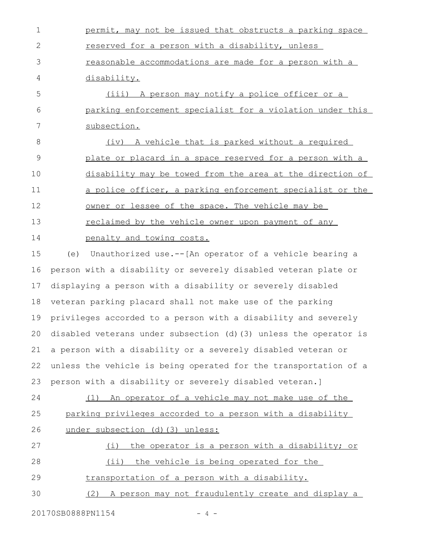permit, may not be issued that obstructs a parking space reserved for a person with a disability, unless reasonable accommodations are made for a person with a disability. (iii) A person may notify a police officer or a parking enforcement specialist for a violation under this subsection. 1 2 3 4 5 6 7

(iv) A vehicle that is parked without a required plate or placard in a space reserved for a person with a disability may be towed from the area at the direction of a police officer, a parking enforcement specialist or the owner or lessee of the space. The vehicle may be reclaimed by the vehicle owner upon payment of any penalty and towing costs. 8 9 10 11 12 13 14

(e) Unauthorized use.--[An operator of a vehicle bearing a person with a disability or severely disabled veteran plate or displaying a person with a disability or severely disabled veteran parking placard shall not make use of the parking privileges accorded to a person with a disability and severely disabled veterans under subsection (d)(3) unless the operator is a person with a disability or a severely disabled veteran or unless the vehicle is being operated for the transportation of a person with a disability or severely disabled veteran.] 15 16 17 18 19 20 21 22 23

(1) An operator of a vehicle may not make use of the parking privileges accorded to a person with a disability under subsection (d)(3) unless: 24 25 26

(i) the operator is a person with a disability; or (ii) the vehicle is being operated for the transportation of a person with a disability. 27 28 29

(2) A person may not fraudulently create and display a 30

20170SB0888PN1154 - 4 -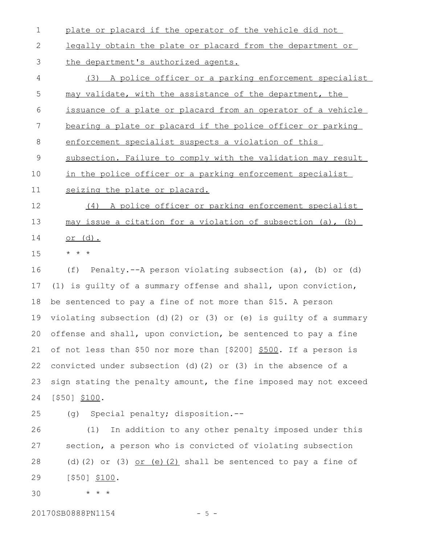- plate or placard if the operator of the vehicle did not 1
- legally obtain the plate or placard from the department or 2
- the department's authorized agents. 3
- (3) A police officer or a parking enforcement specialist may validate, with the assistance of the department, the issuance of a plate or placard from an operator of a vehicle bearing a plate or placard if the police officer or parking enforcement specialist suspects a violation of this subsection. Failure to comply with the validation may result in the police officer or a parking enforcement specialist seizing the plate or placard. (4) A police officer or parking enforcement specialist may issue a citation for a violation of subsection (a), (b) or (d). \* \* \* 4 5 6 7 8 9 10 11 12 13 14 15

(f) Penalty.--A person violating subsection (a), (b) or (d) (1) is guilty of a summary offense and shall, upon conviction, be sentenced to pay a fine of not more than \$15. A person violating subsection (d)(2) or (3) or (e) is guilty of a summary offense and shall, upon conviction, be sentenced to pay a fine of not less than \$50 nor more than [\$200] \$500. If a person is convicted under subsection (d)(2) or (3) in the absence of a sign stating the penalty amount, the fine imposed may not exceed [\$50] \$100. 16 17 18 19 20 21 22 23 24

25

(g) Special penalty; disposition.--

(1) In addition to any other penalty imposed under this section, a person who is convicted of violating subsection (d)(2) or (3)  $or$  (e)(2) shall be sentenced to pay a fine of [\$50] \$100. 26 27 28 29

30

20170SB0888PN1154 - 5 -

\* \* \*